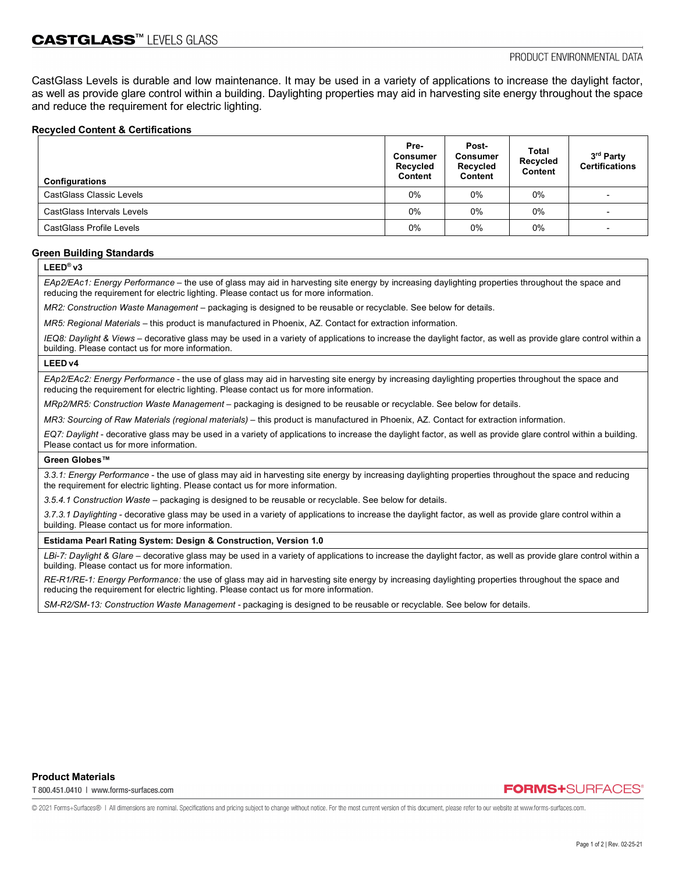CastGlass Levels is durable and low maintenance. It may be used in a variety of applications to increase the daylight factor, as well as provide glare control within a building. Daylighting properties may aid in harvesting site energy throughout the space and reduce the requirement for electric lighting.

# **Recycled Content & Certifications**

| <b>Configurations</b>           | Pre-<br><b>Consumer</b><br>Recycled<br>Content | Post-<br><b>Consumer</b><br>Recycled<br>Content | Total<br>Recycled<br><b>Content</b> | 3rd Party<br><b>Certifications</b> |
|---------------------------------|------------------------------------------------|-------------------------------------------------|-------------------------------------|------------------------------------|
| <b>CastGlass Classic Levels</b> | $0\%$                                          | $0\%$                                           | $0\%$                               | $\overline{\phantom{0}}$           |
| CastGlass Intervals Levels      | $0\%$                                          | $0\%$                                           | $0\%$                               |                                    |
| <b>CastGlass Profile Levels</b> | $0\%$                                          | $0\%$                                           | $0\%$                               |                                    |

# **Green Building Standards**

**LEED® v3**

*EAp2/EAc1: Energy Performance –* the use of glass may aid in harvesting site energy by increasing daylighting properties throughout the space and reducing the requirement for electric lighting. Please contact us for more information.

*MR2: Construction Waste Management –* packaging is designed to be reusable or recyclable. See below for details.

*MR5: Regional Materials* – this product is manufactured in Phoenix, AZ. Contact for extraction information.

*IEQ8: Daylight & Views –* decorative glass may be used in a variety of applications to increase the daylight factor, as well as provide glare control within a building. Please contact us for more information.

# **LEED v4**

*EAp2/EAc2: Energy Performance* - the use of glass may aid in harvesting site energy by increasing daylighting properties throughout the space and reducing the requirement for electric lighting. Please contact us for more information.

*MRp2/MR5: Construction Waste Management –* packaging is designed to be reusable or recyclable. See below for details.

*MR3: Sourcing of Raw Materials (regional materials) – this product is manufactured in Phoenix, AZ. Contact for extraction information.* 

*EQ7: Daylight -* decorative glass may be used in a variety of applications to increase the daylight factor, as well as provide glare control within a building. Please contact us for more information.

#### **Green Globes™**

*3.3.1: Energy Performance* - the use of glass may aid in harvesting site energy by increasing daylighting properties throughout the space and reducing the requirement for electric lighting. Please contact us for more information.

*3.5.4.1 Construction Waste* – packaging is designed to be reusable or recyclable. See below for details.

*3.7.3.1 Daylighting -* decorative glass may be used in a variety of applications to increase the daylight factor, as well as provide glare control within a building. Please contact us for more information.

# **Estidama Pearl Rating System: Design & Construction, Version 1.0**

LBi-7: Daylight & Glare - decorative glass may be used in a variety of applications to increase the daylight factor, as well as provide glare control within a building. Please contact us for more information.

*RE-R1/RE-1: Energy Performance:* the use of glass may aid in harvesting site energy by increasing daylighting properties throughout the space and reducing the requirement for electric lighting. Please contact us for more information.

*SM-R2/SM-13: Construction Waste Management -* packaging is designed to be reusable or recyclable. See below for details.

T 800.451.0410 | www.forms-surfaces.com

**FORMS+SURFACES** 

© 2021 Forms+Surfaces® | All dimensions are nominal. Specifications and pricing subject to change without notice. For the most current version of this document, please refer to our website at www.forms-surfaces.com